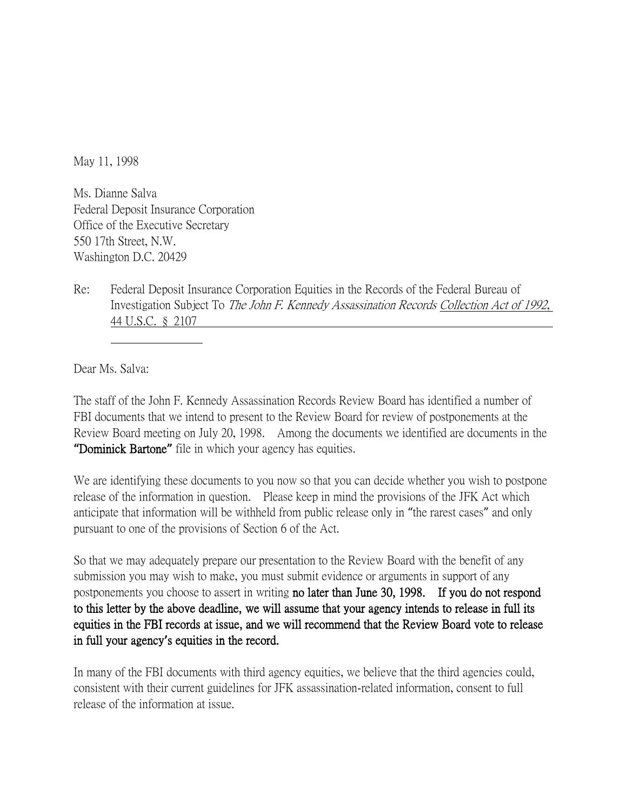May 11, 1998

Ms. Dianne Salva Federal Deposit Insurance Corporation Office of the Executive Secretary 550 17th Street, N.W. Washington D.C. 20429

Re: Federal Deposit Insurance Corporation Equities in the Records of the Federal Bureau of Investigation Subject To The John F. Kennedy Assassination Records Collection Act of 1992, 44 U.S.C. § 2107

Dear Ms. Salva:

The staff of the John F. Kennedy Assassination Records Review Board has identified a number of FBI documents that we intend to present to the Review Board for review of postponements at the Review Board meeting on July 20, 1998. Among the documents we identified are documents in the **"**Dominick Bartone**"** file in which your agency has equities.

We are identifying these documents to you now so that you can decide whether you wish to postpone release of the information in question. Please keep in mind the provisions of the JFK Act which anticipate that information will be withheld from public release only in "the rarest cases" and only pursuant to one of the provisions of Section 6 of the Act.

So that we may adequately prepare our presentation to the Review Board with the benefit of any submission you may wish to make, you must submit evidence or arguments in support of any postponements you choose to assert in writing no later than June 30, 1998. If you do not respond to this letter by the above deadline, we will assume that your agency intends to release in full its equities in the FBI records at issue, and we will recommend that the Review Board vote to release in full your agency**'**s equities in the record.

In many of the FBI documents with third agency equities, we believe that the third agencies could, consistent with their current guidelines for JFK assassination-related information, consent to full release of the information at issue.